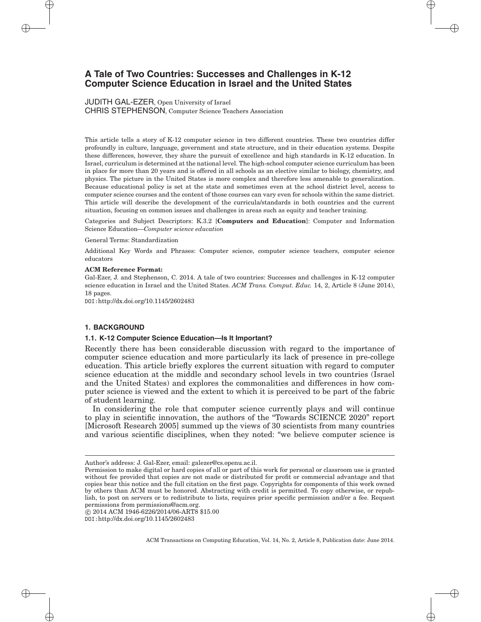# **A Tale of Two Countries: Successes and Challenges in K-12 Computer Science Education in Israel and the United States**

## JUDITH GAL-EZER, Open University of Israel

CHRIS STEPHENSON, Computer Science Teachers Association

This article tells a story of K-12 computer science in two different countries. These two countries differ profoundly in culture, language, government and state structure, and in their education systems. Despite these differences, however, they share the pursuit of excellence and high standards in K-12 education. In Israel, curriculum is determined at the national level. The high-school computer science curriculum has been in place for more than 20 years and is offered in all schools as an elective similar to biology, chemistry, and physics. The picture in the United States is more complex and therefore less amenable to generalization. Because educational policy is set at the state and sometimes even at the school district level, access to computer science courses and the content of those courses can vary even for schools within the same district. This article will describe the development of the curricula/standards in both countries and the current situation, focusing on common issues and challenges in areas such as equity and teacher training.

Categories and Subject Descriptors: K.3.2 [**Computers and Education**]: Computer and Information Science Education—*Computer science education*

General Terms: Standardization

Additional Key Words and Phrases: Computer science, computer science teachers, computer science educators

#### **ACM Reference Format:**

Gal-Ezer, J. and Stephenson, C. 2014. A tale of two countries: Successes and challenges in K-12 computer science education in Israel and the United States. *ACM Trans. Comput. Educ.* 14, 2, Article 8 (June 2014), 18 pages.

DOI:http://dx.doi.org/10.1145/2602483

## **1. BACKGROUND**

### **1.1. K-12 Computer Science Education—Is It Important?**

Recently there has been considerable discussion with regard to the importance of computer science education and more particularly its lack of presence in pre-college education. This article briefly explores the current situation with regard to computer science education at the middle and secondary school levels in two countries (Israel and the United States) and explores the commonalities and differences in how computer science is viewed and the extent to which it is perceived to be part of the fabric of student learning.

In considering the role that computer science currently plays and will continue to play in scientific innovation, the authors of the "Towards SCIENCE 2020" report [Microsoft Research 2005] summed up the views of 30 scientists from many countries and various scientific disciplines, when they noted: "we believe computer science is

-c 2014 ACM 1946-6226/2014/06-ART8 \$15.00

DOI:http://dx.doi.org/10.1145/2602483

Author's address: J. Gal-Ezer, email: galezer@cs.openu.ac.il.

Permission to make digital or hard copies of all or part of this work for personal or classroom use is granted without fee provided that copies are not made or distributed for profit or commercial advantage and that copies bear this notice and the full citation on the first page. Copyrights for components of this work owned by others than ACM must be honored. Abstracting with credit is permitted. To copy otherwise, or republish, to post on servers or to redistribute to lists, requires prior specific permission and/or a fee. Request permissions from permissions@acm.org.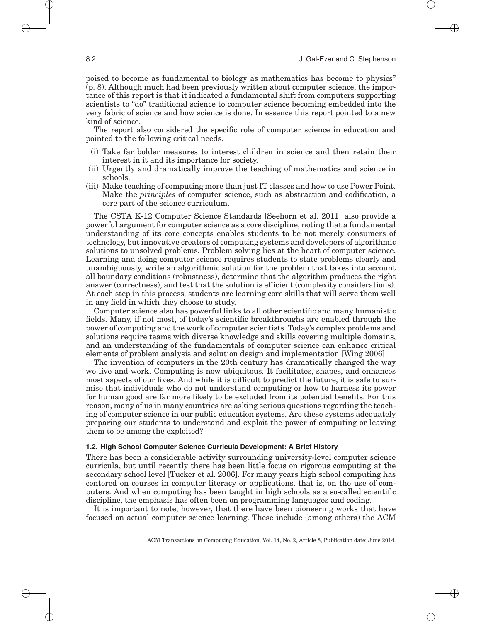poised to become as fundamental to biology as mathematics has become to physics" (p. 8). Although much had been previously written about computer science, the importance of this report is that it indicated a fundamental shift from computers supporting scientists to "do" traditional science to computer science becoming embedded into the very fabric of science and how science is done. In essence this report pointed to a new kind of science.

The report also considered the specific role of computer science in education and pointed to the following critical needs.

- (i) Take far bolder measures to interest children in science and then retain their interest in it and its importance for society.
- (ii) Urgently and dramatically improve the teaching of mathematics and science in schools.
- (iii) Make teaching of computing more than just IT classes and how to use Power Point. Make the *principles* of computer science, such as abstraction and codification, a core part of the science curriculum.

The CSTA K-12 Computer Science Standards [Seehorn et al. 2011] also provide a powerful argument for computer science as a core discipline, noting that a fundamental understanding of its core concepts enables students to be not merely consumers of technology, but innovative creators of computing systems and developers of algorithmic solutions to unsolved problems. Problem solving lies at the heart of computer science. Learning and doing computer science requires students to state problems clearly and unambiguously, write an algorithmic solution for the problem that takes into account all boundary conditions (robustness), determine that the algorithm produces the right answer (correctness), and test that the solution is efficient (complexity considerations). At each step in this process, students are learning core skills that will serve them well in any field in which they choose to study.

Computer science also has powerful links to all other scientific and many humanistic fields. Many, if not most, of today's scientific breakthroughs are enabled through the power of computing and the work of computer scientists. Today's complex problems and solutions require teams with diverse knowledge and skills covering multiple domains, and an understanding of the fundamentals of computer science can enhance critical elements of problem analysis and solution design and implementation [Wing 2006].

The invention of computers in the 20th century has dramatically changed the way we live and work. Computing is now ubiquitous. It facilitates, shapes, and enhances most aspects of our lives. And while it is difficult to predict the future, it is safe to surmise that individuals who do not understand computing or how to harness its power for human good are far more likely to be excluded from its potential benefits. For this reason, many of us in many countries are asking serious questions regarding the teaching of computer science in our public education systems. Are these systems adequately preparing our students to understand and exploit the power of computing or leaving them to be among the exploited?

## **1.2. High School Computer Science Curricula Development: A Brief History**

There has been a considerable activity surrounding university-level computer science curricula, but until recently there has been little focus on rigorous computing at the secondary school level [Tucker et al. 2006]. For many years high school computing has centered on courses in computer literacy or applications, that is, on the use of computers. And when computing has been taught in high schools as a so-called scientific discipline, the emphasis has often been on programming languages and coding.

It is important to note, however, that there have been pioneering works that have focused on actual computer science learning. These include (among others) the ACM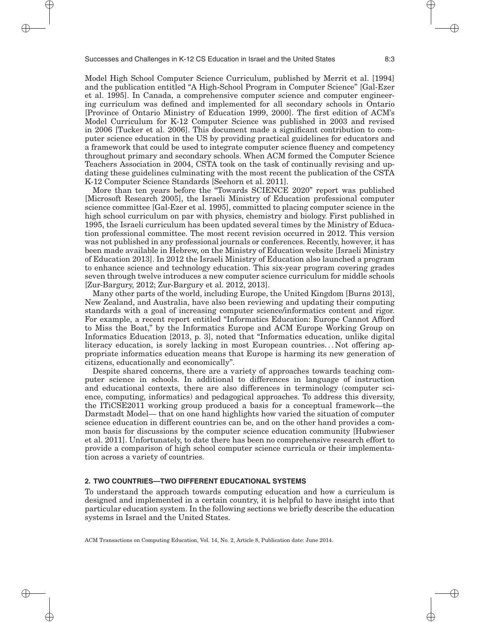Model High School Computer Science Curriculum, published by Merrit et al. [1994] and the publication entitled "A High-School Program in Computer Science" [Gal-Ezer et al. 1995]. In Canada, a comprehensive computer science and computer engineering curriculum was defined and implemented for all secondary schools in Ontario [Province of Ontario Ministry of Education 1999, 2000]. The first edition of ACM's Model Curriculum for K-12 Computer Science was published in 2003 and revised in 2006 [Tucker et al. 2006]. This document made a significant contribution to computer science education in the US by providing practical guidelines for educators and a framework that could be used to integrate computer science fluency and competency throughout primary and secondary schools. When ACM formed the Computer Science Teachers Association in 2004, CSTA took on the task of continually revising and updating these guidelines culminating with the most recent the publication of the CSTA K-12 Computer Science Standards [Seehorn et al. 2011].

More than ten years before the "Towards SCIENCE 2020" report was published [Microsoft Research 2005], the Israeli Ministry of Education professional computer science committee [Gal-Ezer et al. 1995], committed to placing computer science in the high school curriculum on par with physics, chemistry and biology. First published in 1995, the Israeli curriculum has been updated several times by the Ministry of Education professional committee. The most recent revision occurred in 2012. This version was not published in any professional journals or conferences. Recently, however, it has been made available in Hebrew, on the Ministry of Education website [Israeli Ministry of Education 2013]. In 2012 the Israeli Ministry of Education also launched a program to enhance science and technology education. This six-year program covering grades seven through twelve introduces a new computer science curriculum for middle schools [Zur-Bargury, 2012; Zur-Bargury et al. 2012, 2013].

Many other parts of the world, including Europe, the United Kingdom [Burns 2013], New Zealand, and Australia, have also been reviewing and updating their computing standards with a goal of increasing computer science/informatics content and rigor. For example, a recent report entitled "Informatics Education: Europe Cannot Afford to Miss the Boat," by the Informatics Europe and ACM Europe Working Group on Informatics Education [2013, p. 3], noted that "Informatics education, unlike digital literacy education, is sorely lacking in most European countries. . . Not offering appropriate informatics education means that Europe is harming its new generation of citizens, educationally and economically".

Despite shared concerns, there are a variety of approaches towards teaching computer science in schools. In additional to differences in language of instruction and educational contexts, there are also differences in terminology (computer science, computing, informatics) and pedagogical approaches. To address this diversity, the ITiCSE2011 working group produced a basis for a conceptual framework—the Darmstadt Model— that on one hand highlights how varied the situation of computer science education in different countries can be, and on the other hand provides a common basis for discussions by the computer science education community [Hubwieser et al. 2011]. Unfortunately, to date there has been no comprehensive research effort to provide a comparison of high school computer science curricula or their implementation across a variety of countries.

### **2. TWO COUNTRIES—TWO DIFFERENT EDUCATIONAL SYSTEMS**

To understand the approach towards computing education and how a curriculum is designed and implemented in a certain country, it is helpful to have insight into that particular education system. In the following sections we briefly describe the education systems in Israel and the United States.

ACM Transactions on Computing Education, Vol. 14, No. 2, Article 8, Publication date: June 2014.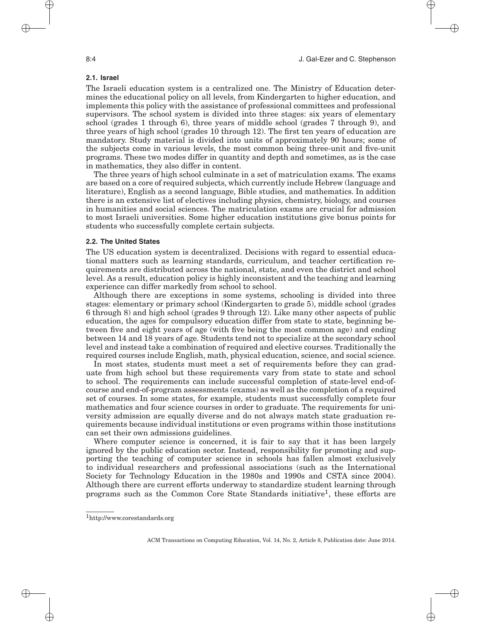### **2.1. Israel**

The Israeli education system is a centralized one. The Ministry of Education determines the educational policy on all levels, from Kindergarten to higher education, and implements this policy with the assistance of professional committees and professional supervisors. The school system is divided into three stages: six years of elementary school (grades 1 through 6), three years of middle school (grades 7 through 9), and three years of high school (grades 10 through 12). The first ten years of education are mandatory. Study material is divided into units of approximately 90 hours; some of the subjects come in various levels, the most common being three-unit and five-unit programs. These two modes differ in quantity and depth and sometimes, as is the case in mathematics, they also differ in content.

The three years of high school culminate in a set of matriculation exams. The exams are based on a core of required subjects, which currently include Hebrew (language and literature), English as a second language, Bible studies, and mathematics. In addition there is an extensive list of electives including physics, chemistry, biology, and courses in humanities and social sciences. The matriculation exams are crucial for admission to most Israeli universities. Some higher education institutions give bonus points for students who successfully complete certain subjects.

## **2.2. The United States**

The US education system is decentralized. Decisions with regard to essential educational matters such as learning standards, curriculum, and teacher certification requirements are distributed across the national, state, and even the district and school level. As a result, education policy is highly inconsistent and the teaching and learning experience can differ markedly from school to school.

Although there are exceptions in some systems, schooling is divided into three stages: elementary or primary school (Kindergarten to grade 5), middle school (grades 6 through 8) and high school (grades 9 through 12). Like many other aspects of public education, the ages for compulsory education differ from state to state, beginning between five and eight years of age (with five being the most common age) and ending between 14 and 18 years of age. Students tend not to specialize at the secondary school level and instead take a combination of required and elective courses. Traditionally the required courses include English, math, physical education, science, and social science.

In most states, students must meet a set of requirements before they can graduate from high school but these requirements vary from state to state and school to school. The requirements can include successful completion of state-level end-ofcourse and end-of-program assessments (exams) as well as the completion of a required set of courses. In some states, for example, students must successfully complete four mathematics and four science courses in order to graduate. The requirements for university admission are equally diverse and do not always match state graduation requirements because individual institutions or even programs within those institutions can set their own admissions guidelines.

Where computer science is concerned, it is fair to say that it has been largely ignored by the public education sector. Instead, responsibility for promoting and supporting the teaching of computer science in schools has fallen almost exclusively to individual researchers and professional associations (such as the International Society for Technology Education in the 1980s and 1990s and CSTA since 2004). Although there are current efforts underway to standardize student learning through programs such as the Common Core State Standards initiative<sup>1</sup>, these efforts are

[<sup>1</sup>http://www.corestandards.org](http://www.corestandards.org)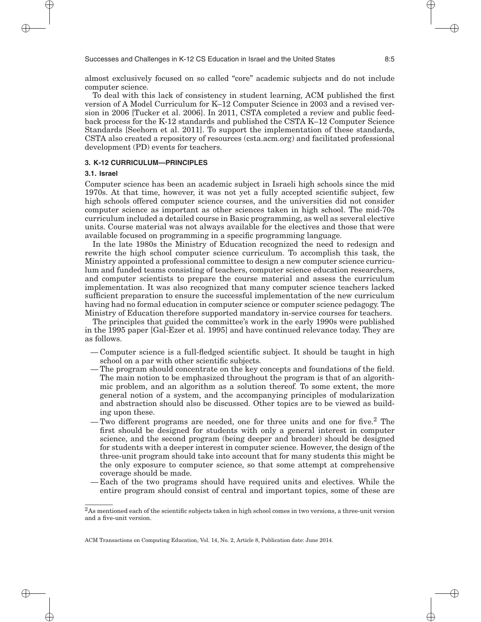almost exclusively focused on so called "core" academic subjects and do not include computer science.

To deal with this lack of consistency in student learning, ACM published the first version of A Model Curriculum for K–12 Computer Science in 2003 and a revised version in 2006 [Tucker et al. 2006]. In 2011, CSTA completed a review and public feedback process for the K-12 standards and published the CSTA K–12 Computer Science Standards [Seehorn et al. 2011]. To support the implementation of these standards, CSTA also created a repository of resources (csta.acm.org) and facilitated professional development (PD) events for teachers.

## **3. K-12 CURRICULUM—PRINCIPLES**

### **3.1. Israel**

Computer science has been an academic subject in Israeli high schools since the mid 1970s. At that time, however, it was not yet a fully accepted scientific subject, few high schools offered computer science courses, and the universities did not consider computer science as important as other sciences taken in high school. The mid-70s curriculum included a detailed course in Basic programming, as well as several elective units. Course material was not always available for the electives and those that were available focused on programming in a specific programming language.

In the late 1980s the Ministry of Education recognized the need to redesign and rewrite the high school computer science curriculum. To accomplish this task, the Ministry appointed a professional committee to design a new computer science curriculum and funded teams consisting of teachers, computer science education researchers, and computer scientists to prepare the course material and assess the curriculum implementation. It was also recognized that many computer science teachers lacked sufficient preparation to ensure the successful implementation of the new curriculum having had no formal education in computer science or computer science pedagogy. The Ministry of Education therefore supported mandatory in-service courses for teachers.

The principles that guided the committee's work in the early 1990s were published in the 1995 paper [Gal-Ezer et al. 1995] and have continued relevance today. They are as follows.

- Computer science is a full-fledged scientific subject. It should be taught in high school on a par with other scientific subjects.
- The program should concentrate on the key concepts and foundations of the field. The main notion to be emphasized throughout the program is that of an algorithmic problem, and an algorithm as a solution thereof. To some extent, the more general notion of a system, and the accompanying principles of modularization and abstraction should also be discussed. Other topics are to be viewed as building upon these.
- Two different programs are needed, one for three units and one for five.<sup>2</sup> The first should be designed for students with only a general interest in computer science, and the second program (being deeper and broader) should be designed for students with a deeper interest in computer science. However, the design of the three-unit program should take into account that for many students this might be the only exposure to computer science, so that some attempt at comprehensive coverage should be made.
- Each of the two programs should have required units and electives. While the entire program should consist of central and important topics, some of these are

 ${}^{2}$ As mentioned each of the scientific subjects taken in high school comes in two versions, a three-unit version and a five-unit version.

ACM Transactions on Computing Education, Vol. 14, No. 2, Article 8, Publication date: June 2014.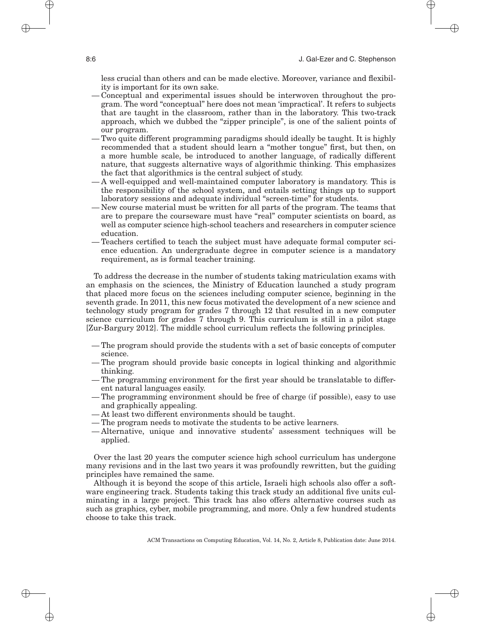less crucial than others and can be made elective. Moreover, variance and flexibility is important for its own sake.

- Conceptual and experimental issues should be interwoven throughout the program. The word "conceptual" here does not mean 'impractical'. It refers to subjects that are taught in the classroom, rather than in the laboratory. This two-track approach, which we dubbed the "zipper principle", is one of the salient points of our program.
- Two quite different programming paradigms should ideally be taught. It is highly recommended that a student should learn a "mother tongue" first, but then, on a more humble scale, be introduced to another language, of radically different nature, that suggests alternative ways of algorithmic thinking. This emphasizes the fact that algorithmics is the central subject of study.
- A well-equipped and well-maintained computer laboratory is mandatory. This is the responsibility of the school system, and entails setting things up to support laboratory sessions and adequate individual "screen-time" for students.
- New course material must be written for all parts of the program. The teams that are to prepare the courseware must have "real" computer scientists on board, as well as computer science high-school teachers and researchers in computer science education.
- Teachers certified to teach the subject must have adequate formal computer science education. An undergraduate degree in computer science is a mandatory requirement, as is formal teacher training.

To address the decrease in the number of students taking matriculation exams with an emphasis on the sciences, the Ministry of Education launched a study program that placed more focus on the sciences including computer science, beginning in the seventh grade. In 2011, this new focus motivated the development of a new science and technology study program for grades 7 through 12 that resulted in a new computer science curriculum for grades 7 through 9. This curriculum is still in a pilot stage [Zur-Bargury 2012]. The middle school curriculum reflects the following principles.

- The program should provide the students with a set of basic concepts of computer science.
- The program should provide basic concepts in logical thinking and algorithmic thinking.
- The programming environment for the first year should be translatable to different natural languages easily.
- The programming environment should be free of charge (if possible), easy to use and graphically appealing.
- At least two different environments should be taught.
- The program needs to motivate the students to be active learners.
- Alternative, unique and innovative students' assessment techniques will be applied.

Over the last 20 years the computer science high school curriculum has undergone many revisions and in the last two years it was profoundly rewritten, but the guiding principles have remained the same.

Although it is beyond the scope of this article, Israeli high schools also offer a software engineering track. Students taking this track study an additional five units culminating in a large project. This track has also offers alternative courses such as such as graphics, cyber, mobile programming, and more. Only a few hundred students choose to take this track.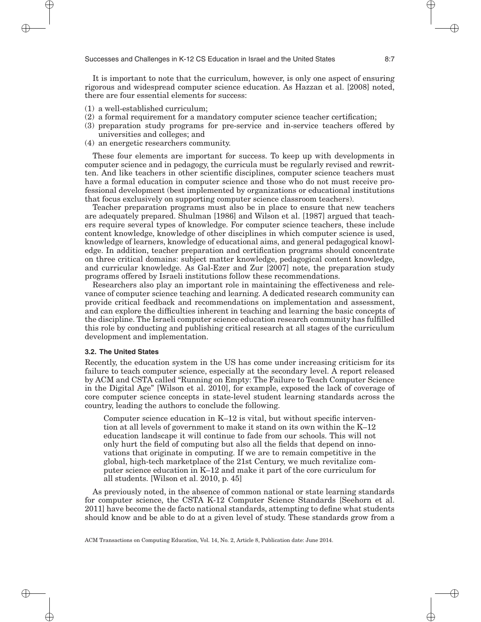It is important to note that the curriculum, however, is only one aspect of ensuring rigorous and widespread computer science education. As Hazzan et al. [2008] noted, there are four essential elements for success:

- (1) a well-established curriculum;
- (2) a formal requirement for a mandatory computer science teacher certification;
- (3) preparation study programs for pre-service and in-service teachers offered by universities and colleges; and
- (4) an energetic researchers community.

These four elements are important for success. To keep up with developments in computer science and in pedagogy, the curricula must be regularly revised and rewritten. And like teachers in other scientific disciplines, computer science teachers must have a formal education in computer science and those who do not must receive professional development (best implemented by organizations or educational institutions that focus exclusively on supporting computer science classroom teachers).

Teacher preparation programs must also be in place to ensure that new teachers are adequately prepared. Shulman [1986] and Wilson et al. [1987] argued that teachers require several types of knowledge. For computer science teachers, these include content knowledge, knowledge of other disciplines in which computer science is used, knowledge of learners, knowledge of educational aims, and general pedagogical knowledge. In addition, teacher preparation and certification programs should concentrate on three critical domains: subject matter knowledge, pedagogical content knowledge, and curricular knowledge. As Gal-Ezer and Zur [2007] note, the preparation study programs offered by Israeli institutions follow these recommendations.

Researchers also play an important role in maintaining the effectiveness and relevance of computer science teaching and learning. A dedicated research community can provide critical feedback and recommendations on implementation and assessment, and can explore the difficulties inherent in teaching and learning the basic concepts of the discipline. The Israeli computer science education research community has fulfilled this role by conducting and publishing critical research at all stages of the curriculum development and implementation.

## **3.2. The United States**

Recently, the education system in the US has come under increasing criticism for its failure to teach computer science, especially at the secondary level. A report released by ACM and CSTA called "Running on Empty: The Failure to Teach Computer Science in the Digital Age" [Wilson et al. 2010], for example, exposed the lack of coverage of core computer science concepts in state-level student learning standards across the country, leading the authors to conclude the following.

Computer science education in K–12 is vital, but without specific intervention at all levels of government to make it stand on its own within the K–12 education landscape it will continue to fade from our schools. This will not only hurt the field of computing but also all the fields that depend on innovations that originate in computing. If we are to remain competitive in the global, high-tech marketplace of the 21st Century, we much revitalize computer science education in K–12 and make it part of the core curriculum for all students. [Wilson et al. 2010, p. 45]

As previously noted, in the absence of common national or state learning standards for computer science, the CSTA K-12 Computer Science Standards [Seehorn et al. 2011] have become the de facto national standards, attempting to define what students should know and be able to do at a given level of study. These standards grow from a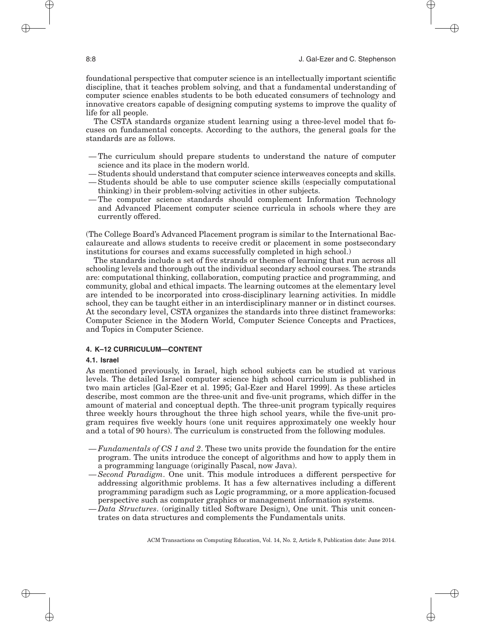foundational perspective that computer science is an intellectually important scientific discipline, that it teaches problem solving, and that a fundamental understanding of computer science enables students to be both educated consumers of technology and innovative creators capable of designing computing systems to improve the quality of life for all people.

The CSTA standards organize student learning using a three-level model that focuses on fundamental concepts. According to the authors, the general goals for the standards are as follows.

- The curriculum should prepare students to understand the nature of computer science and its place in the modern world.
- Students should understand that computer science interweaves concepts and skills.
- Students should be able to use computer science skills (especially computational thinking) in their problem-solving activities in other subjects.
- The computer science standards should complement Information Technology and Advanced Placement computer science curricula in schools where they are currently offered.

(The College Board's Advanced Placement program is similar to the International Baccalaureate and allows students to receive credit or placement in some postsecondary institutions for courses and exams successfully completed in high school.)

The standards include a set of five strands or themes of learning that run across all schooling levels and thorough out the individual secondary school courses. The strands are: computational thinking, collaboration, computing practice and programming, and community, global and ethical impacts. The learning outcomes at the elementary level are intended to be incorporated into cross-disciplinary learning activities. In middle school, they can be taught either in an interdisciplinary manner or in distinct courses. At the secondary level, CSTA organizes the standards into three distinct frameworks: Computer Science in the Modern World, Computer Science Concepts and Practices, and Topics in Computer Science.

## **4. K–12 CURRICULUM—CONTENT**

## **4.1. Israel**

As mentioned previously, in Israel, high school subjects can be studied at various levels. The detailed Israel computer science high school curriculum is published in two main articles [Gal-Ezer et al. 1995; Gal-Ezer and Harel 1999]. As these articles describe, most common are the three-unit and five-unit programs, which differ in the amount of material and conceptual depth. The three-unit program typically requires three weekly hours throughout the three high school years, while the five-unit program requires five weekly hours (one unit requires approximately one weekly hour and a total of 90 hours). The curriculum is constructed from the following modules.

- *Fundamentals of CS 1 and 2*. These two units provide the foundation for the entire program. The units introduce the concept of algorithms and how to apply them in a programming language (originally Pascal, now Java).
- *Second Paradigm*. One unit. This module introduces a different perspective for addressing algorithmic problems. It has a few alternatives including a different programming paradigm such as Logic programming, or a more application-focused perspective such as computer graphics or management information systems.
- *Data Structures*. (originally titled Software Design), One unit. This unit concentrates on data structures and complements the Fundamentals units.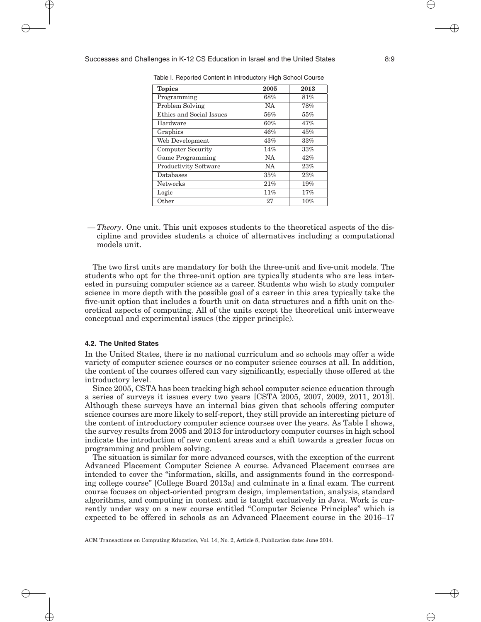| <b>Topics</b>                | 2005      | 2013 |
|------------------------------|-----------|------|
| Programming                  | 68%       | 81%  |
| Problem Solving              | <b>NA</b> | 78%  |
| Ethics and Social Issues     | 56%       | 55%  |
| Hardware                     | 60%       | 47%  |
| Graphics                     | 46%       | 45%  |
| Web Development              | 43%       | 33%  |
| <b>Computer Security</b>     | 14%       | 33%  |
| Game Programming             | <b>NA</b> | 42%  |
| <b>Productivity Software</b> | <b>NA</b> | 23%  |
| Databases                    | 35%       | 23%  |
| <b>Networks</b>              | 21%       | 19%  |
| Logic                        | 11%       | 17%  |
| Other                        | 27        | 10%  |

Table I. Reported Content in Introductory High School Course

— *Theory*. One unit. This unit exposes students to the theoretical aspects of the discipline and provides students a choice of alternatives including a computational models unit.

The two first units are mandatory for both the three-unit and five-unit models. The students who opt for the three-unit option are typically students who are less interested in pursuing computer science as a career. Students who wish to study computer science in more depth with the possible goal of a career in this area typically take the five-unit option that includes a fourth unit on data structures and a fifth unit on theoretical aspects of computing. All of the units except the theoretical unit interweave conceptual and experimental issues (the zipper principle).

### **4.2. The United States**

In the United States, there is no national curriculum and so schools may offer a wide variety of computer science courses or no computer science courses at all. In addition, the content of the courses offered can vary significantly, especially those offered at the introductory level.

Since 2005, CSTA has been tracking high school computer science education through a series of surveys it issues every two years [CSTA 2005, 2007, 2009, 2011, 2013]. Although these surveys have an internal bias given that schools offering computer science courses are more likely to self-report, they still provide an interesting picture of the content of introductory computer science courses over the years. As Table I shows, the survey results from 2005 and 2013 for introductory computer courses in high school indicate the introduction of new content areas and a shift towards a greater focus on programming and problem solving.

The situation is similar for more advanced courses, with the exception of the current Advanced Placement Computer Science A course. Advanced Placement courses are intended to cover the "information, skills, and assignments found in the corresponding college course" [College Board 2013a] and culminate in a final exam. The current course focuses on object-oriented program design, implementation, analysis, standard algorithms, and computing in context and is taught exclusively in Java. Work is currently under way on a new course entitled "Computer Science Principles" which is expected to be offered in schools as an Advanced Placement course in the 2016–17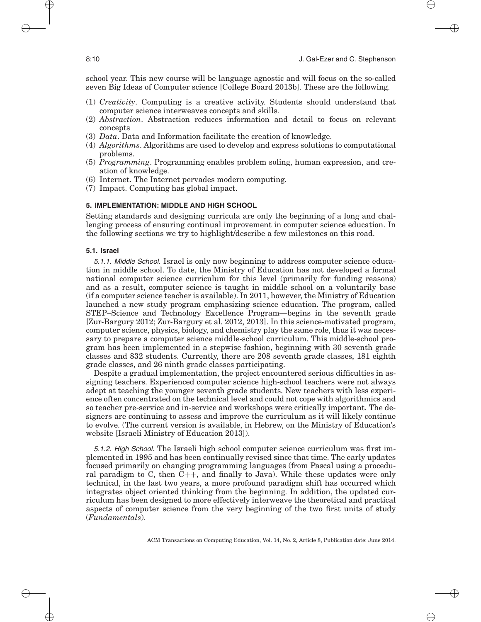school year. This new course will be language agnostic and will focus on the so-called seven Big Ideas of Computer science [College Board 2013b]. These are the following.

- (1) *Creativity*. Computing is a creative activity. Students should understand that computer science interweaves concepts and skills.
- (2) *Abstraction*. Abstraction reduces information and detail to focus on relevant concepts
- (3) *Data*. Data and Information facilitate the creation of knowledge.
- (4) *Algorithms*. Algorithms are used to develop and express solutions to computational problems.
- (5) *Programming*. Programming enables problem soling, human expression, and creation of knowledge.
- (6) Internet. The Internet pervades modern computing.
- (7) Impact. Computing has global impact.

## **5. IMPLEMENTATION: MIDDLE AND HIGH SCHOOL**

Setting standards and designing curricula are only the beginning of a long and challenging process of ensuring continual improvement in computer science education. In the following sections we try to highlight/describe a few milestones on this road.

## **5.1. Israel**

5.1.1. Middle School. Israel is only now beginning to address computer science education in middle school. To date, the Ministry of Education has not developed a formal national computer science curriculum for this level (primarily for funding reasons) and as a result, computer science is taught in middle school on a voluntarily base (if a computer science teacher is available). In 2011, however, the Ministry of Education launched a new study program emphasizing science education. The program, called STEP–Science and Technology Excellence Program—begins in the seventh grade [Zur-Bargury 2012; Zur-Bargury et al. 2012, 2013]. In this science-motivated program, computer science, physics, biology, and chemistry play the same role, thus it was necessary to prepare a computer science middle-school curriculum. This middle-school program has been implemented in a stepwise fashion, beginning with 30 seventh grade classes and 832 students. Currently, there are 208 seventh grade classes, 181 eighth grade classes, and 26 ninth grade classes participating.

Despite a gradual implementation, the project encountered serious difficulties in assigning teachers. Experienced computer science high-school teachers were not always adept at teaching the younger seventh grade students. New teachers with less experience often concentrated on the technical level and could not cope with algorithmics and so teacher pre-service and in-service and workshops were critically important. The designers are continuing to assess and improve the curriculum as it will likely continue to evolve. (The current version is available, in Hebrew, on the Ministry of Education's website [Israeli Ministry of Education 2013]).

5.1.2. High School. The Israeli high school computer science curriculum was first implemented in 1995 and has been continually revised since that time. The early updates focused primarily on changing programming languages (from Pascal using a procedural paradigm to C, then  $C_{++}$ , and finally to Java). While these updates were only technical, in the last two years, a more profound paradigm shift has occurred which integrates object oriented thinking from the beginning. In addition, the updated curriculum has been designed to more effectively interweave the theoretical and practical aspects of computer science from the very beginning of the two first units of study (*Fundamentals*).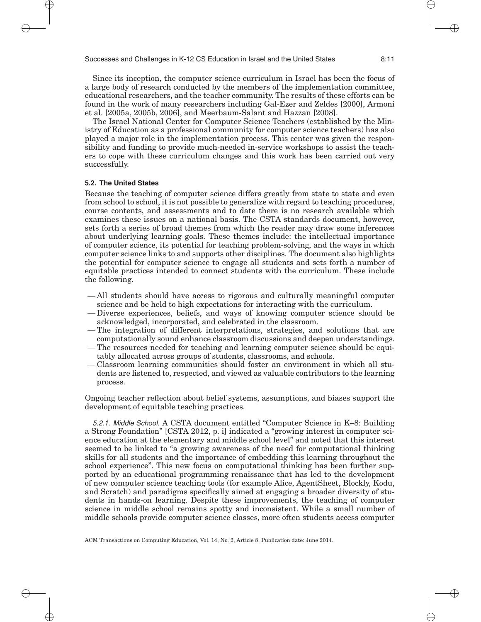Since its inception, the computer science curriculum in Israel has been the focus of a large body of research conducted by the members of the implementation committee, educational researchers, and the teacher community. The results of these efforts can be found in the work of many researchers including Gal-Ezer and Zeldes [2000], Armoni et al. [2005a, 2005b, 2006], and Meerbaum-Salant and Hazzan [2008].

The Israel National Center for Computer Science Teachers (established by the Ministry of Education as a professional community for computer science teachers) has also played a major role in the implementation process. This center was given the responsibility and funding to provide much-needed in-service workshops to assist the teachers to cope with these curriculum changes and this work has been carried out very successfully.

## **5.2. The United States**

Because the teaching of computer science differs greatly from state to state and even from school to school, it is not possible to generalize with regard to teaching procedures, course contents, and assessments and to date there is no research available which examines these issues on a national basis. The CSTA standards document, however, sets forth a series of broad themes from which the reader may draw some inferences about underlying learning goals. These themes include: the intellectual importance of computer science, its potential for teaching problem-solving, and the ways in which computer science links to and supports other disciplines. The document also highlights the potential for computer science to engage all students and sets forth a number of equitable practices intended to connect students with the curriculum. These include the following.

- All students should have access to rigorous and culturally meaningful computer science and be held to high expectations for interacting with the curriculum.
- Diverse experiences, beliefs, and ways of knowing computer science should be acknowledged, incorporated, and celebrated in the classroom.
- The integration of different interpretations, strategies, and solutions that are computationally sound enhance classroom discussions and deepen understandings.
- The resources needed for teaching and learning computer science should be equitably allocated across groups of students, classrooms, and schools.
- Classroom learning communities should foster an environment in which all students are listened to, respected, and viewed as valuable contributors to the learning process.

Ongoing teacher reflection about belief systems, assumptions, and biases support the development of equitable teaching practices.

5.2.1. Middle School. A CSTA document entitled "Computer Science in K–8: Building a Strong Foundation" [CSTA 2012, p. i] indicated a "growing interest in computer science education at the elementary and middle school level" and noted that this interest seemed to be linked to "a growing awareness of the need for computational thinking skills for all students and the importance of embedding this learning throughout the school experience". This new focus on computational thinking has been further supported by an educational programming renaissance that has led to the development of new computer science teaching tools (for example Alice, AgentSheet, Blockly, Kodu, and Scratch) and paradigms specifically aimed at engaging a broader diversity of students in hands-on learning. Despite these improvements, the teaching of computer science in middle school remains spotty and inconsistent. While a small number of middle schools provide computer science classes, more often students access computer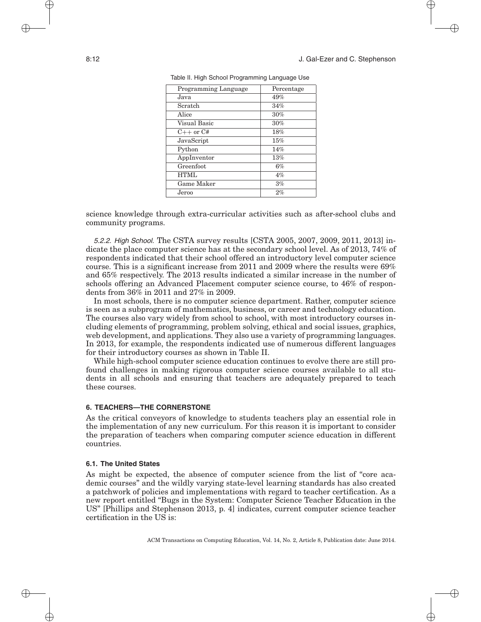| Programming Language | Percentage |
|----------------------|------------|
| Java                 | 49%        |
| Scratch              | 34%        |
| Alice                | 30%        |
| Visual Basic         | $30\%$     |
| $C++$ or $C#$        | 18%        |
| JavaScript           | 15%        |
| Python               | 14%        |
| AppInventor          | 13%        |
| Greenfoot            | 6%         |
| HTML                 | 4%         |
| Game Maker           | 3%         |
| Jeroo                | 2%         |

Table II. High School Programming Language Use

science knowledge through extra-curricular activities such as after-school clubs and community programs.

5.2.2. High School. The CSTA survey results [CSTA 2005, 2007, 2009, 2011, 2013] indicate the place computer science has at the secondary school level. As of 2013, 74% of respondents indicated that their school offered an introductory level computer science course. This is a significant increase from 2011 and 2009 where the results were 69% and 65% respectively. The 2013 results indicated a similar increase in the number of schools offering an Advanced Placement computer science course, to 46% of respondents from 36% in 2011 and 27% in 2009.

In most schools, there is no computer science department. Rather, computer science is seen as a subprogram of mathematics, business, or career and technology education. The courses also vary widely from school to school, with most introductory courses including elements of programming, problem solving, ethical and social issues, graphics, web development, and applications. They also use a variety of programming languages. In 2013, for example, the respondents indicated use of numerous different languages for their introductory courses as shown in Table II.

While high-school computer science education continues to evolve there are still profound challenges in making rigorous computer science courses available to all students in all schools and ensuring that teachers are adequately prepared to teach these courses.

## **6. TEACHERS—THE CORNERSTONE**

As the critical conveyors of knowledge to students teachers play an essential role in the implementation of any new curriculum. For this reason it is important to consider the preparation of teachers when comparing computer science education in different countries.

## **6.1. The United States**

As might be expected, the absence of computer science from the list of "core academic courses" and the wildly varying state-level learning standards has also created a patchwork of policies and implementations with regard to teacher certification. As a new report entitled "Bugs in the System: Computer Science Teacher Education in the US" [Phillips and Stephenson 2013, p. 4] indicates, current computer science teacher certification in the US is: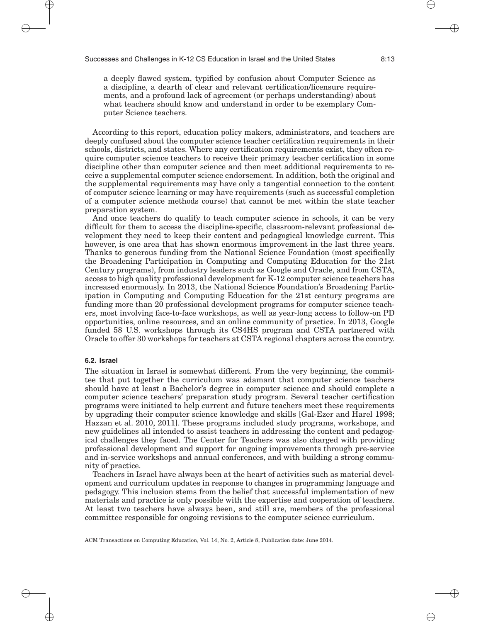a deeply flawed system, typified by confusion about Computer Science as a discipline, a dearth of clear and relevant certification/licensure requirements, and a profound lack of agreement (or perhaps understanding) about what teachers should know and understand in order to be exemplary Computer Science teachers.

According to this report, education policy makers, administrators, and teachers are deeply confused about the computer science teacher certification requirements in their schools, districts, and states. Where any certification requirements exist, they often require computer science teachers to receive their primary teacher certification in some discipline other than computer science and then meet additional requirements to receive a supplemental computer science endorsement. In addition, both the original and the supplemental requirements may have only a tangential connection to the content of computer science learning or may have requirements (such as successful completion of a computer science methods course) that cannot be met within the state teacher preparation system.

And once teachers do qualify to teach computer science in schools, it can be very difficult for them to access the discipline-specific, classroom-relevant professional development they need to keep their content and pedagogical knowledge current. This however, is one area that has shown enormous improvement in the last three years. Thanks to generous funding from the National Science Foundation (most specifically the Broadening Participation in Computing and Computing Education for the 21st Century programs), from industry leaders such as Google and Oracle, and from CSTA, access to high quality professional development for K-12 computer science teachers has increased enormously. In 2013, the National Science Foundation's Broadening Participation in Computing and Computing Education for the 21st century programs are funding more than 20 professional development programs for computer science teachers, most involving face-to-face workshops, as well as year-long access to follow-on PD opportunities, online resources, and an online community of practice. In 2013, Google funded 58 U.S. workshops through its CS4HS program and CSTA partnered with Oracle to offer 30 workshops for teachers at CSTA regional chapters across the country.

#### **6.2. Israel**

The situation in Israel is somewhat different. From the very beginning, the committee that put together the curriculum was adamant that computer science teachers should have at least a Bachelor's degree in computer science and should complete a computer science teachers' preparation study program. Several teacher certification programs were initiated to help current and future teachers meet these requirements by upgrading their computer science knowledge and skills [Gal-Ezer and Harel 1998; Hazzan et al. 2010, 2011]. These programs included study programs, workshops, and new guidelines all intended to assist teachers in addressing the content and pedagogical challenges they faced. The Center for Teachers was also charged with providing professional development and support for ongoing improvements through pre-service and in-service workshops and annual conferences, and with building a strong community of practice.

Teachers in Israel have always been at the heart of activities such as material development and curriculum updates in response to changes in programming language and pedagogy. This inclusion stems from the belief that successful implementation of new materials and practice is only possible with the expertise and cooperation of teachers. At least two teachers have always been, and still are, members of the professional committee responsible for ongoing revisions to the computer science curriculum.

ACM Transactions on Computing Education, Vol. 14, No. 2, Article 8, Publication date: June 2014.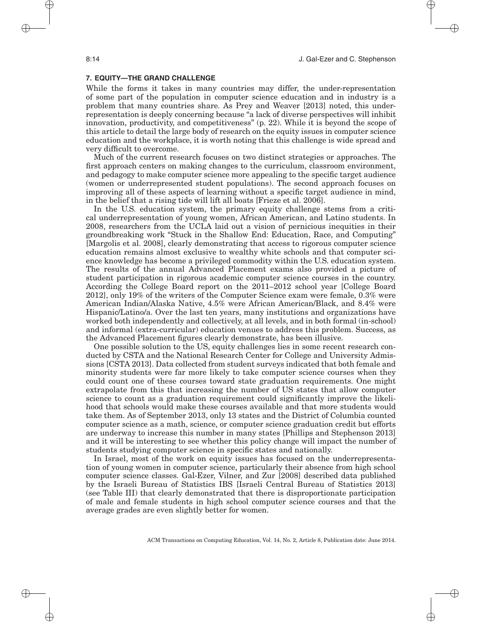### **7. EQUITY—THE GRAND CHALLENGE**

While the forms it takes in many countries may differ, the under-representation of some part of the population in computer science education and in industry is a problem that many countries share. As Prey and Weaver [2013] noted, this underrepresentation is deeply concerning because "a lack of diverse perspectives will inhibit innovation, productivity, and competitiveness" (p. 22). While it is beyond the scope of this article to detail the large body of research on the equity issues in computer science education and the workplace, it is worth noting that this challenge is wide spread and very difficult to overcome.

Much of the current research focuses on two distinct strategies or approaches. The first approach centers on making changes to the curriculum, classroom environment, and pedagogy to make computer science more appealing to the specific target audience (women or underrepresented student populations). The second approach focuses on improving all of these aspects of learning without a specific target audience in mind, in the belief that a rising tide will lift all boats [Frieze et al. 2006].

In the U.S. education system, the primary equity challenge stems from a critical underrepresentation of young women, African American, and Latino students. In 2008, researchers from the UCLA laid out a vision of pernicious inequities in their groundbreaking work "Stuck in the Shallow End: Education, Race, and Computing" [Margolis et al. 2008], clearly demonstrating that access to rigorous computer science education remains almost exclusive to wealthy white schools and that computer science knowledge has become a privileged commodity within the U.S. education system. The results of the annual Advanced Placement exams also provided a picture of student participation in rigorous academic computer science courses in the country. According the College Board report on the 2011–2012 school year [College Board 2012], only 19% of the writers of the Computer Science exam were female, 0.3% were American Indian/Alaska Native, 4.5% were African American/Black, and 8.4% were Hispanic/Latino/a. Over the last ten years, many institutions and organizations have worked both independently and collectively, at all levels, and in both formal (in-school) and informal (extra-curricular) education venues to address this problem. Success, as the Advanced Placement figures clearly demonstrate, has been illusive.

One possible solution to the US, equity challenges lies in some recent research conducted by CSTA and the National Research Center for College and University Admissions [CSTA 2013]. Data collected from student surveys indicated that both female and minority students were far more likely to take computer science courses when they could count one of these courses toward state graduation requirements. One might extrapolate from this that increasing the number of US states that allow computer science to count as a graduation requirement could significantly improve the likelihood that schools would make these courses available and that more students would take them. As of September 2013, only 13 states and the District of Columbia counted computer science as a math, science, or computer science graduation credit but efforts are underway to increase this number in many states [Phillips and Stephenson 2013] and it will be interesting to see whether this policy change will impact the number of students studying computer science in specific states and nationally.

In Israel, most of the work on equity issues has focused on the underrepresentation of young women in computer science, particularly their absence from high school computer science classes. Gal-Ezer, Vilner, and Zur [2008] described data published by the Israeli Bureau of Statistics IBS [Israeli Central Bureau of Statistics 2013] (see Table III) that clearly demonstrated that there is disproportionate participation of male and female students in high school computer science courses and that the average grades are even slightly better for women.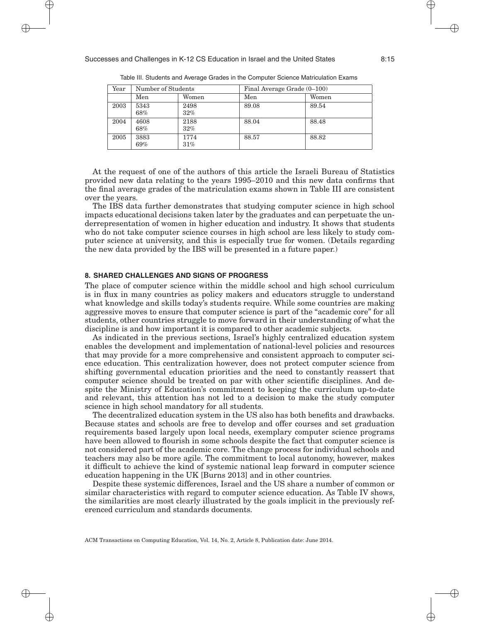| Year | Number of Students |             | Final Average Grade (0-100) |       |
|------|--------------------|-------------|-----------------------------|-------|
|      | Men                | Women       | Men                         | Women |
| 2003 | 5343<br>68%        | 2498<br>32% | 89.08                       | 89.54 |
| 2004 | 4608<br>68%        | 2188<br>32% | 88.04                       | 88.48 |
| 2005 | 3883<br>$69\%$     | 1774<br>31% | 88.57                       | 88.82 |

Table III. Students and Average Grades in the Computer Science Matriculation Exams

At the request of one of the authors of this article the Israeli Bureau of Statistics provided new data relating to the years 1995–2010 and this new data confirms that the final average grades of the matriculation exams shown in Table III are consistent over the years.

The IBS data further demonstrates that studying computer science in high school impacts educational decisions taken later by the graduates and can perpetuate the underrepresentation of women in higher education and industry. It shows that students who do not take computer science courses in high school are less likely to study computer science at university, and this is especially true for women. (Details regarding the new data provided by the IBS will be presented in a future paper.)

### **8. SHARED CHALLENGES AND SIGNS OF PROGRESS**

The place of computer science within the middle school and high school curriculum is in flux in many countries as policy makers and educators struggle to understand what knowledge and skills today's students require. While some countries are making aggressive moves to ensure that computer science is part of the "academic core" for all students, other countries struggle to move forward in their understanding of what the discipline is and how important it is compared to other academic subjects.

As indicated in the previous sections, Israel's highly centralized education system enables the development and implementation of national-level policies and resources that may provide for a more comprehensive and consistent approach to computer science education. This centralization however, does not protect computer science from shifting governmental education priorities and the need to constantly reassert that computer science should be treated on par with other scientific disciplines. And despite the Ministry of Education's commitment to keeping the curriculum up-to-date and relevant, this attention has not led to a decision to make the study computer science in high school mandatory for all students.

The decentralized education system in the US also has both benefits and drawbacks. Because states and schools are free to develop and offer courses and set graduation requirements based largely upon local needs, exemplary computer science programs have been allowed to flourish in some schools despite the fact that computer science is not considered part of the academic core. The change process for individual schools and teachers may also be more agile. The commitment to local autonomy, however, makes it difficult to achieve the kind of systemic national leap forward in computer science education happening in the UK [Burns 2013] and in other countries.

Despite these systemic differences, Israel and the US share a number of common or similar characteristics with regard to computer science education. As Table IV shows, the similarities are most clearly illustrated by the goals implicit in the previously referenced curriculum and standards documents.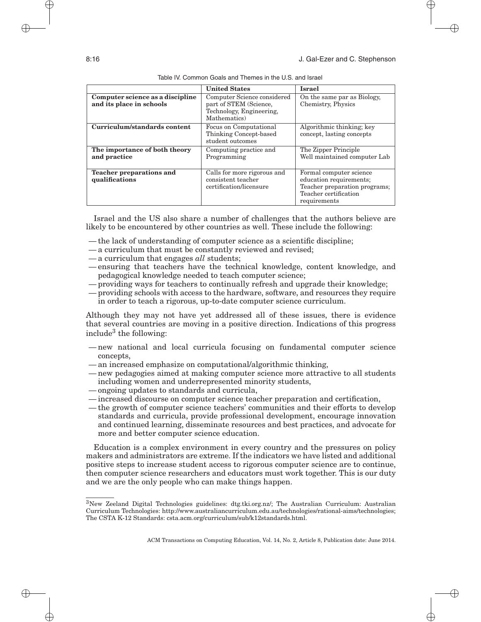|                                                              | <b>United States</b>                                                                              | <b>Israel</b>                                                                                                                |
|--------------------------------------------------------------|---------------------------------------------------------------------------------------------------|------------------------------------------------------------------------------------------------------------------------------|
| Computer science as a discipline<br>and its place in schools | Computer Science considered<br>part of STEM (Science,<br>Technology, Engineering,<br>Mathematics) | On the same par as Biology,<br>Chemistry, Physics                                                                            |
| Curriculum/standards content                                 | Focus on Computational<br>Thinking Concept-based<br>student outcomes                              | Algorithmic thinking; key<br>concept, lasting concepts                                                                       |
| The importance of both theory<br>and practice                | Computing practice and<br>Programming                                                             | The Zipper Principle<br>Well maintained computer Lab                                                                         |
| <b>Teacher preparations and</b><br>qualifications            | Calls for more rigorous and<br>consistent teacher<br>certification/licensure                      | Formal computer science<br>education requirements;<br>Teacher preparation programs;<br>Teacher certification<br>requirements |

Table IV. Common Goals and Themes in the U.S. and Israel

Israel and the US also share a number of challenges that the authors believe are likely to be encountered by other countries as well. These include the following:

- the lack of understanding of computer science as a scientific discipline;
- a curriculum that must be constantly reviewed and revised;
- a curriculum that engages *all* students;
- ensuring that teachers have the technical knowledge, content knowledge, and pedagogical knowledge needed to teach computer science;
- providing ways for teachers to continually refresh and upgrade their knowledge;
- providing schools with access to the hardware, software, and resources they require in order to teach a rigorous, up-to-date computer science curriculum.

Although they may not have yet addressed all of these issues, there is evidence that several countries are moving in a positive direction. Indications of this progress include3 the following:

- new national and local curricula focusing on fundamental computer science concepts,
- an increased emphasize on computational/algorithmic thinking,
- new pedagogies aimed at making computer science more attractive to all students including women and underrepresented minority students,
- ongoing updates to standards and curricula,
- increased discourse on computer science teacher preparation and certification,
- the growth of computer science teachers' communities and their efforts to develop standards and curricula, provide professional development, encourage innovation and continued learning, disseminate resources and best practices, and advocate for more and better computer science education.

Education is a complex environment in every country and the pressures on policy makers and administrators are extreme. If the indicators we have listed and additional positive steps to increase student access to rigorous computer science are to continue, then computer science researchers and educators must work together. This is our duty and we are the only people who can make things happen.

 $3$ New Zeeland Digital Technologies guidelines: dtg.tki.org.nz/; The Australian Curriculum: Australian Curriculum Technologies: http://www.australiancurriculum.edu.au/technologies/rational-aims/technologies; The CSTA K-12 Standards: [csta.acm.org/curriculum/sub/k12standards.html.](csta.acm.org/curriculum/sub/k12standards.html)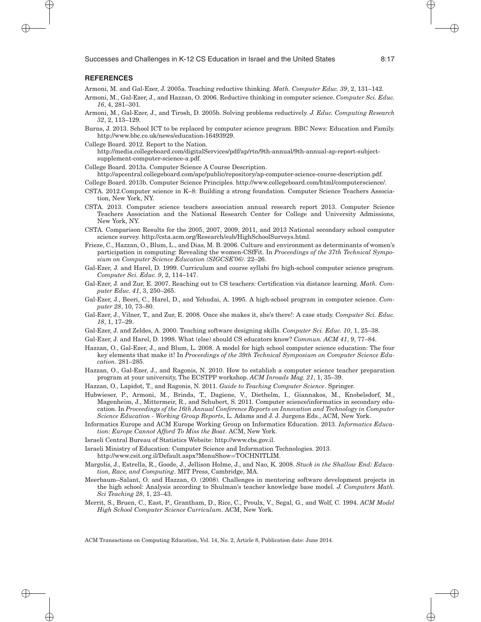### **REFERENCES**

- Armoni, M. and Gal-Ezer, J. 2005a. Teaching reductive thinking. *Math. Computer Educ. 39*, 2, 131–142.
- Armoni, M., Gal-Ezer, J., and Hazzan, O. 2006. Reductive thinking in computer science. *Computer Sci. Educ. 16*, 4, 281–301.
- Armoni, M., Gal-Ezer, J., and Tirosh, D. 2005b. Solving problems reductively. *J. Educ. Computing Research 32*, 2, 113–129.
- Burns, J. 2013. School ICT to be replaced by computer science program. BBC News: Education and Family. http://www.bbc.co.uk/news/education-16493929.
- College Board. 2012. Report to the Nation. http://media.collegeboard.com/digitalServices/pdf/ap/rtn/9th-annual/9th-annual-ap-report-subjectsupplement-computer-science-a.pdf.
- College Board. 2013a. Computer Science A Course Description.
- http://apcentral.collegeboard.com/apc/public/repository/ap-computer-science-course-description.pdf.

College Board. 2013b. Computer Science Principles. http://www.collegeboard.com/html/computerscience/.

- CSTA. 2012.Computer science in K–8: Building a strong foundation. Computer Science Teachers Association, New York, NY.
- CSTA. 2013. Computer science teachers association annual research report 2013. Computer Science Teachers Association and the National Research Center for College and University Admissions, New York, NY.
- CSTA. Comparison Results for the 2005, 2007, 2009, 2011, and 2013 National secondary school computer science survey. http://csta.acm.org/Research/sub/HighSchoolSurveys.html.
- Frieze, C., Hazzan, O., Blum, L., and Dias, M. B. 2006. Culture and environment as determinants of women's participation in computing: Revealing the women-CSfFit. In *Proceedings of the 37th Technical Symposium on Computer Science Education (SIGCSE'06)*. 22–26.
- Gal-Ezer, J. and Harel, D. 1999. Curriculum and course syllabi fro high-school computer science program. *Computer Sci. Educ. 9*, 2, 114–147.
- Gal-Ezer, J. and Zur, E. 2007. Reaching out to CS teachers: Certification via distance learning. *Math. Computer Educ. 41*, 3, 250–265.
- Gal-Ezer, J., Beeri, C., Harel, D., and Yehudai, A. 1995. A high-school program in computer science. *Computer 28*, 10, 73–80.
- Gal-Ezer, J., Vilner, T., and Zur, E. 2008. Once she makes it, she's there!: A case study. *Computer Sci. Educ. 18*, 1, 17–29.
- Gal-Ezer, J. and Zeldes, A. 2000. Teaching software designing skills. *Computer Sci. Educ. 10*, 1, 25–38.
- Gal-Ezer, J. and Harel, D. 1998. What (else) should CS educators know? *Commun. ACM 41*, 9, 77–84.
- Hazzan, O., Gal-Ezer, J., and Blum, L. 2008. A model for high school computer science education: The four key elements that make it! In *Proceedings of the 39th Technical Symposium on Computer Science Education*. 281–285.
- Hazzan, O., Gal-Ezer, J., and Ragonis, N. 2010. How to establish a computer science teacher preparation program at your university, The ECSTPP workshop. *ACM Inroads Mag. 21*, 1, 35–39.
- Hazzan, O., Lapidot, T., and Ragonis, N. 2011. *Guide to Teaching Computer Science*. Springer.
- Hubwieser, P., Armoni, M., Brinda, T., Dagiene, V., Diethelm, I., Giannakos, M., Knobelsdorf, M., Magenheim, J., Mittermeir, R., and Schubert, S. 2011. Computer science/informatics in secondary education. In *Proceedings of the 16th Annual Conference Reports on Innovation and Technology in Computer Science Education - Working Group Reports*, L. Adams and J. J. Jurgens Eds., ACM, New York.
- Informatics Europe and ACM Europe Working Group on Informatics Education. 2013. *Informatics Education: Europe Cannot Afford To Miss the Boat*. ACM, New York.
- Israeli Central Bureau of Statistics Website: http://www.cbs.gov.il.
- Israeli Ministry of Education: Computer Science and Information Technologies. 2013.
- http://www.csit.org.il/Default.aspx?MenuShow=TOCHNITLIM.
- Margolis, J., Estrella, R., Goode, J., Jellison Holme, J., and Nao, K. 2008. *Stuck in the Shallow End: Education, Race, and Computing*. MIT Press, Cambridge, MA.
- Meerbaum–Salant, O. and Hazzan, O. (2008). Challenges in mentoring software development projects in the high school: Analysis according to Shulman's teacher knowledge base model. *J. Computers Math. Sci Teaching 28*, 1, 23–43.
- Merrit, S., Bruen, C., East, P., Grantham, D., Rice, C., Proulx, V., Segal, G., and Wolf, C. 1994. *ACM Model High School Computer Science Curriculum*. ACM, New York.

ACM Transactions on Computing Education, Vol. 14, No. 2, Article 8, Publication date: June 2014.